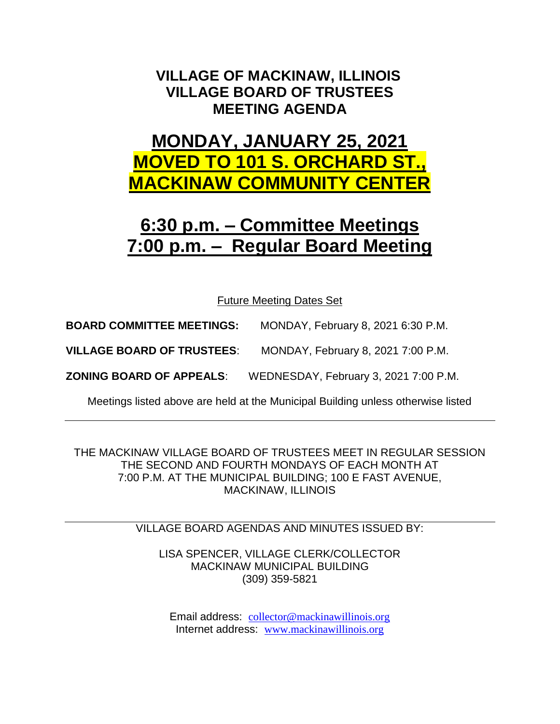### **VILLAGE OF MACKINAW, ILLINOIS VILLAGE BOARD OF TRUSTEES MEETING AGENDA**

# **MONDAY, JANUARY 25, 2021 MOVED TO 101 S. ORCHARD ST., MACKINAW COMMUNITY CENTER**

# **6:30 p.m. – Committee Meetings 7:00 p.m. – Regular Board Meeting**

Future Meeting Dates Set

**BOARD COMMITTEE MEETINGS:** MONDAY, February 8, 2021 6:30 P.M.

**VILLAGE BOARD OF TRUSTEES**: MONDAY, February 8, 2021 7:00 P.M.

**ZONING BOARD OF APPEALS**: WEDNESDAY, February 3, 2021 7:00 P.M.

Meetings listed above are held at the Municipal Building unless otherwise listed

THE MACKINAW VILLAGE BOARD OF TRUSTEES MEET IN REGULAR SESSION THE SECOND AND FOURTH MONDAYS OF EACH MONTH AT 7:00 P.M. AT THE MUNICIPAL BUILDING; 100 E FAST AVENUE, MACKINAW, ILLINOIS

VILLAGE BOARD AGENDAS AND MINUTES ISSUED BY:

LISA SPENCER, VILLAGE CLERK/COLLECTOR MACKINAW MUNICIPAL BUILDING (309) 359-5821

Email address: [collector@mackinawillinois.org](mailto:collector@mackinawillinois.org) Internet address: [www.mackinawillinois.org](http://www.mackinawillinois.org/)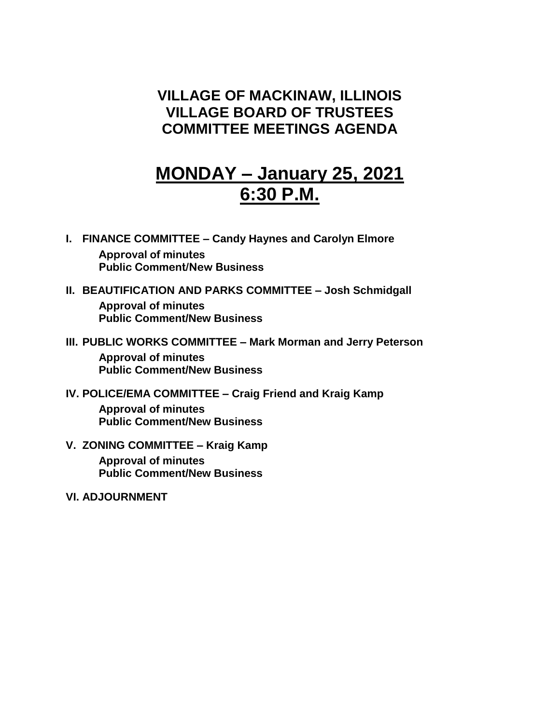#### **VILLAGE OF MACKINAW, ILLINOIS VILLAGE BOARD OF TRUSTEES COMMITTEE MEETINGS AGENDA**

# **MONDAY – January 25, 2021 6:30 P.M.**

- **I. FINANCE COMMITTEE – Candy Haynes and Carolyn Elmore Approval of minutes Public Comment/New Business**
- **II. BEAUTIFICATION AND PARKS COMMITTEE – Josh Schmidgall Approval of minutes Public Comment/New Business**
- **III. PUBLIC WORKS COMMITTEE – Mark Morman and Jerry Peterson Approval of minutes Public Comment/New Business**
- **IV. POLICE/EMA COMMITTEE – Craig Friend and Kraig Kamp Approval of minutes Public Comment/New Business**
- **V. ZONING COMMITTEE – Kraig Kamp Approval of minutes Public Comment/New Business**
- **VI. ADJOURNMENT**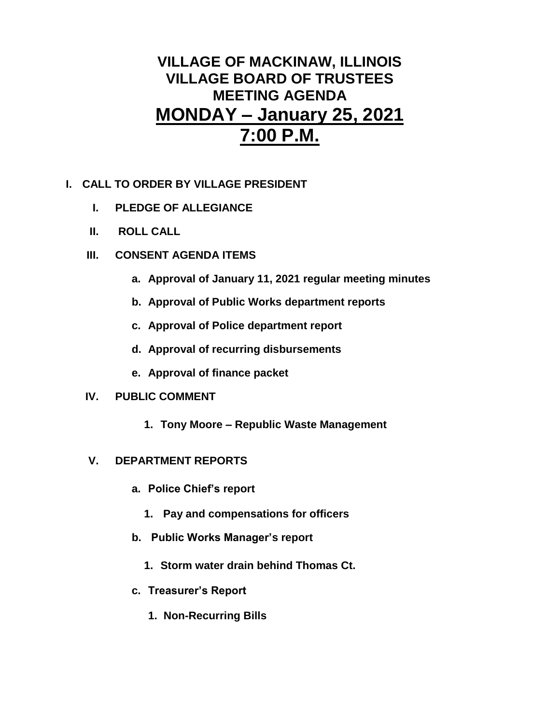### **VILLAGE OF MACKINAW, ILLINOIS VILLAGE BOARD OF TRUSTEES MEETING AGENDA MONDAY – January 25, 2021 7:00 P.M.**

- **I. CALL TO ORDER BY VILLAGE PRESIDENT**
	- **I. PLEDGE OF ALLEGIANCE**
	- **II. ROLL CALL**
	- **III. CONSENT AGENDA ITEMS** 
		- **a. Approval of January 11, 2021 regular meeting minutes**
		- **b. Approval of Public Works department reports**
		- **c. Approval of Police department report**
		- **d. Approval of recurring disbursements**
		- **e. Approval of finance packet**

#### **IV. PUBLIC COMMENT**

**1. Tony Moore – Republic Waste Management** 

#### **V. DEPARTMENT REPORTS**

- **a. Police Chief's report**
	- **1. Pay and compensations for officers**
- **b. Public Works Manager's report**
	- **1. Storm water drain behind Thomas Ct.**
- **c. Treasurer's Report** 
	- **1. Non-Recurring Bills**